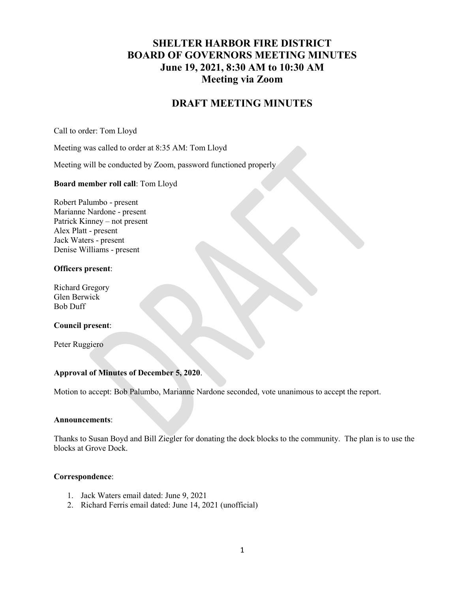# SHELTER HARBOR FIRE DISTRICT BOARD OF GOVERNORS MEETING MINUTES June 19, 2021, 8:30 AM to 10:30 AM Meeting via Zoom

# DRAFT MEETING MINUTES

Call to order: Tom Lloyd

Meeting was called to order at 8:35 AM: Tom Lloyd

Meeting will be conducted by Zoom, password functioned properly

#### Board member roll call: Tom Lloyd

Robert Palumbo - present Marianne Nardone - present Patrick Kinney – not present Alex Platt - present Jack Waters - present Denise Williams - present

## Officers present:

Richard Gregory Glen Berwick Bob Duff

#### Council present:

Peter Ruggiero

#### Approval of Minutes of December 5, 2020.

Motion to accept: Bob Palumbo, Marianne Nardone seconded, vote unanimous to accept the report.

#### Announcements:

Thanks to Susan Boyd and Bill Ziegler for donating the dock blocks to the community. The plan is to use the blocks at Grove Dock.

#### Correspondence:

- 1. Jack Waters email dated: June 9, 2021
- 2. Richard Ferris email dated: June 14, 2021 (unofficial)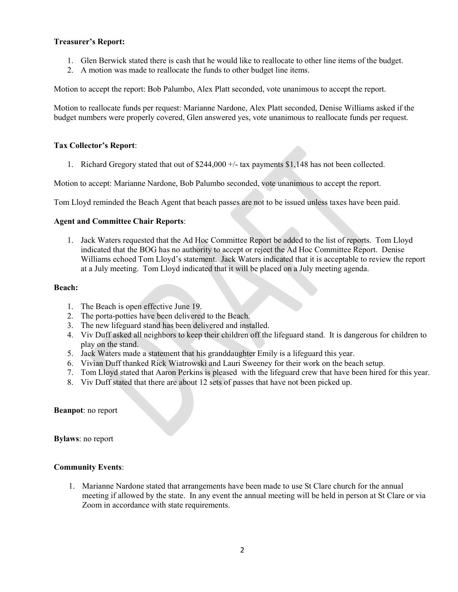### Treasurer's Report:

- 1. Glen Berwick stated there is cash that he would like to reallocate to other line items of the budget.
- 2. A motion was made to reallocate the funds to other budget line items.

Motion to accept the report: Bob Palumbo, Alex Platt seconded, vote unanimous to accept the report.

Motion to reallocate funds per request: Marianne Nardone, Alex Platt seconded, Denise Williams asked if the budget numbers were properly covered, Glen answered yes, vote unanimous to reallocate funds per request.

### Tax Collector's Report:

1. Richard Gregory stated that out of \$244,000 +/- tax payments \$1,148 has not been collected.

Motion to accept: Marianne Nardone, Bob Palumbo seconded, vote unanimous to accept the report.

Tom Lloyd reminded the Beach Agent that beach passes are not to be issued unless taxes have been paid.

#### Agent and Committee Chair Reports:

1. Jack Waters requested that the Ad Hoc Committee Report be added to the list of reports. Tom Lloyd indicated that the BOG has no authority to accept or reject the Ad Hoc Committee Report. Denise Williams echoed Tom Lloyd's statement. Jack Waters indicated that it is acceptable to review the report at a July meeting. Tom Lloyd indicated that it will be placed on a July meeting agenda.

#### Beach:

- 1. The Beach is open effective June 19.
- 2. The porta-potties have been delivered to the Beach.
- 3. The new lifeguard stand has been delivered and installed.
- 4. Viv Duff asked all neighbors to keep their children off the lifeguard stand. It is dangerous for children to play on the stand.
- 5. Jack Waters made a statement that his granddaughter Emily is a lifeguard this year.
- 6. Vivian Duff thanked Rick Wiatrowski and Lauri Sweeney for their work on the beach setup.
- 7. Tom Lloyd stated that Aaron Perkins is pleased with the lifeguard crew that have been hired for this year.
- 8. Viv Duff stated that there are about 12 sets of passes that have not been picked up.

#### Beanpot: no report

Bylaws: no report

#### Community Events:

1. Marianne Nardone stated that arrangements have been made to use St Clare church for the annual meeting if allowed by the state. In any event the annual meeting will be held in person at St Clare or via Zoom in accordance with state requirements.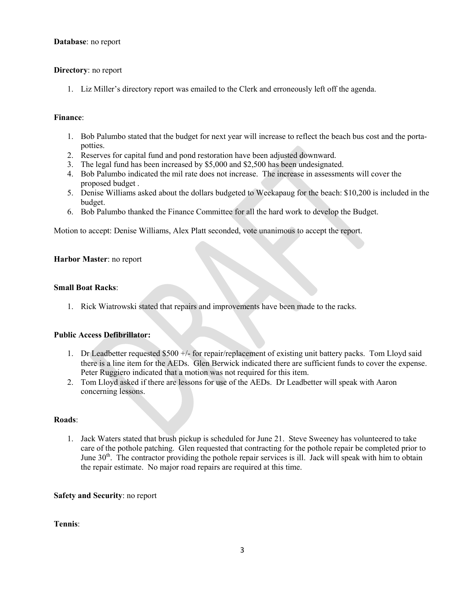#### Database: no report

### Directory: no report

1. Liz Miller's directory report was emailed to the Clerk and erroneously left off the agenda.

### Finance:

- 1. Bob Palumbo stated that the budget for next year will increase to reflect the beach bus cost and the portapotties.
- 2. Reserves for capital fund and pond restoration have been adjusted downward.
- 3. The legal fund has been increased by \$5,000 and \$2,500 has been undesignated.
- 4. Bob Palumbo indicated the mil rate does not increase. The increase in assessments will cover the proposed budget .
- 5. Denise Williams asked about the dollars budgeted to Weekapaug for the beach: \$10,200 is included in the budget.
- 6. Bob Palumbo thanked the Finance Committee for all the hard work to develop the Budget.

Motion to accept: Denise Williams, Alex Platt seconded, vote unanimous to accept the report.

## Harbor Master: no report

#### Small Boat Racks:

1. Rick Wiatrowski stated that repairs and improvements have been made to the racks.

#### Public Access Defibrillator:

- 1. Dr Leadbetter requested \$500 +/- for repair/replacement of existing unit battery packs. Tom Lloyd said there is a line item for the AEDs. Glen Berwick indicated there are sufficient funds to cover the expense. Peter Ruggiero indicated that a motion was not required for this item.
- 2. Tom Lloyd asked if there are lessons for use of the AEDs. Dr Leadbetter will speak with Aaron concerning lessons.

#### Roads:

1. Jack Waters stated that brush pickup is scheduled for June 21. Steve Sweeney has volunteered to take care of the pothole patching. Glen requested that contracting for the pothole repair be completed prior to June 30<sup>th</sup>. The contractor providing the pothole repair services is ill. Jack will speak with him to obtain the repair estimate. No major road repairs are required at this time.

#### Safety and Security: no report

Tennis: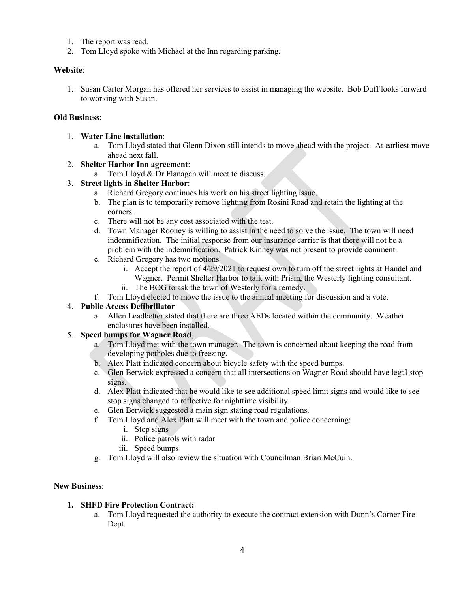- 1. The report was read.
- 2. Tom Lloyd spoke with Michael at the Inn regarding parking.

### Website:

1. Susan Carter Morgan has offered her services to assist in managing the website. Bob Duff looks forward to working with Susan.

## Old Business:

- 1. Water Line installation:
	- a. Tom Lloyd stated that Glenn Dixon still intends to move ahead with the project. At earliest move ahead next fall.

## 2. Shelter Harbor Inn agreement:

a. Tom Lloyd & Dr Flanagan will meet to discuss.

## 3. Street lights in Shelter Harbor:

- a. Richard Gregory continues his work on his street lighting issue.
- b. The plan is to temporarily remove lighting from Rosini Road and retain the lighting at the corners.
- c. There will not be any cost associated with the test.
- d. Town Manager Rooney is willing to assist in the need to solve the issue. The town will need indemnification. The initial response from our insurance carrier is that there will not be a problem with the indemnification. Patrick Kinney was not present to provide comment.
- e. Richard Gregory has two motions
	- i. Accept the report of 4/29/2021 to request own to turn off the street lights at Handel and Wagner. Permit Shelter Harbor to talk with Prism, the Westerly lighting consultant.
	- ii. The BOG to ask the town of Westerly for a remedy.
- f. Tom Lloyd elected to move the issue to the annual meeting for discussion and a vote.

## 4. Public Access Defibrillator

a. Allen Leadbetter stated that there are three AEDs located within the community. Weather enclosures have been installed.

# 5. Speed bumps for Wagner Road,

- a. Tom Lloyd met with the town manager. The town is concerned about keeping the road from developing potholes due to freezing.
- b. Alex Platt indicated concern about bicycle safety with the speed bumps.
- c. Glen Berwick expressed a concern that all intersections on Wagner Road should have legal stop signs.
- d. Alex Platt indicated that he would like to see additional speed limit signs and would like to see stop signs changed to reflective for nighttime visibility.
- e. Glen Berwick suggested a main sign stating road regulations.
- f. Tom Lloyd and Alex Platt will meet with the town and police concerning:
	- i. Stop signs
	- ii. Police patrols with radar
	- iii. Speed bumps
- g. Tom Lloyd will also review the situation with Councilman Brian McCuin.

#### New Business:

# 1. SHFD Fire Protection Contract:

a. Tom Lloyd requested the authority to execute the contract extension with Dunn's Corner Fire Dept.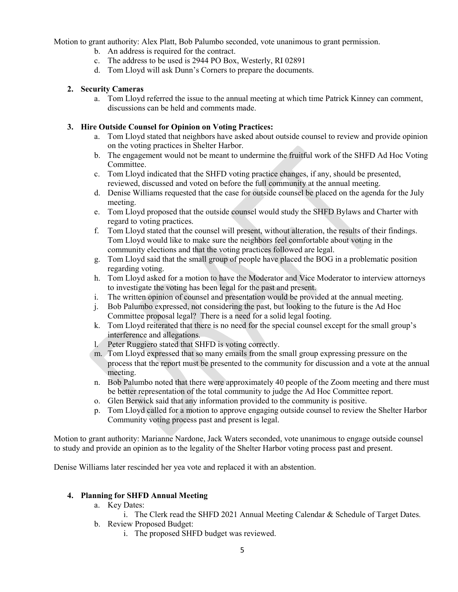Motion to grant authority: Alex Platt, Bob Palumbo seconded, vote unanimous to grant permission.

- b. An address is required for the contract.
- c. The address to be used is 2944 PO Box, Westerly, RI 02891
- d. Tom Lloyd will ask Dunn's Corners to prepare the documents.

### 2. Security Cameras

a. Tom Lloyd referred the issue to the annual meeting at which time Patrick Kinney can comment, discussions can be held and comments made.

## 3. Hire Outside Counsel for Opinion on Voting Practices:

- a. Tom Lloyd stated that neighbors have asked about outside counsel to review and provide opinion on the voting practices in Shelter Harbor.
- b. The engagement would not be meant to undermine the fruitful work of the SHFD Ad Hoc Voting Committee.
- c. Tom Lloyd indicated that the SHFD voting practice changes, if any, should be presented, reviewed, discussed and voted on before the full community at the annual meeting.
- d. Denise Williams requested that the case for outside counsel be placed on the agenda for the July meeting.
- e. Tom Lloyd proposed that the outside counsel would study the SHFD Bylaws and Charter with regard to voting practices.
- f. Tom Lloyd stated that the counsel will present, without alteration, the results of their findings. Tom Lloyd would like to make sure the neighbors feel comfortable about voting in the community elections and that the voting practices followed are legal.
- g. Tom Lloyd said that the small group of people have placed the BOG in a problematic position regarding voting.
- h. Tom Lloyd asked for a motion to have the Moderator and Vice Moderator to interview attorneys to investigate the voting has been legal for the past and present.
- i. The written opinion of counsel and presentation would be provided at the annual meeting.
- j. Bob Palumbo expressed, not considering the past, but looking to the future is the Ad Hoc Committee proposal legal? There is a need for a solid legal footing.
- k. Tom Lloyd reiterated that there is no need for the special counsel except for the small group's interference and allegations.
- l. Peter Ruggiero stated that SHFD is voting correctly.
- m. Tom Lloyd expressed that so many emails from the small group expressing pressure on the process that the report must be presented to the community for discussion and a vote at the annual meeting.
- n. Bob Palumbo noted that there were approximately 40 people of the Zoom meeting and there must be better representation of the total community to judge the Ad Hoc Committee report.
- o. Glen Berwick said that any information provided to the community is positive.
- p. Tom Lloyd called for a motion to approve engaging outside counsel to review the Shelter Harbor Community voting process past and present is legal.

Motion to grant authority: Marianne Nardone, Jack Waters seconded, vote unanimous to engage outside counsel to study and provide an opinion as to the legality of the Shelter Harbor voting process past and present.

Denise Williams later rescinded her yea vote and replaced it with an abstention.

# 4. Planning for SHFD Annual Meeting

- a. Key Dates:
	- i. The Clerk read the SHFD 2021 Annual Meeting Calendar & Schedule of Target Dates.
- b. Review Proposed Budget:
	- i. The proposed SHFD budget was reviewed.